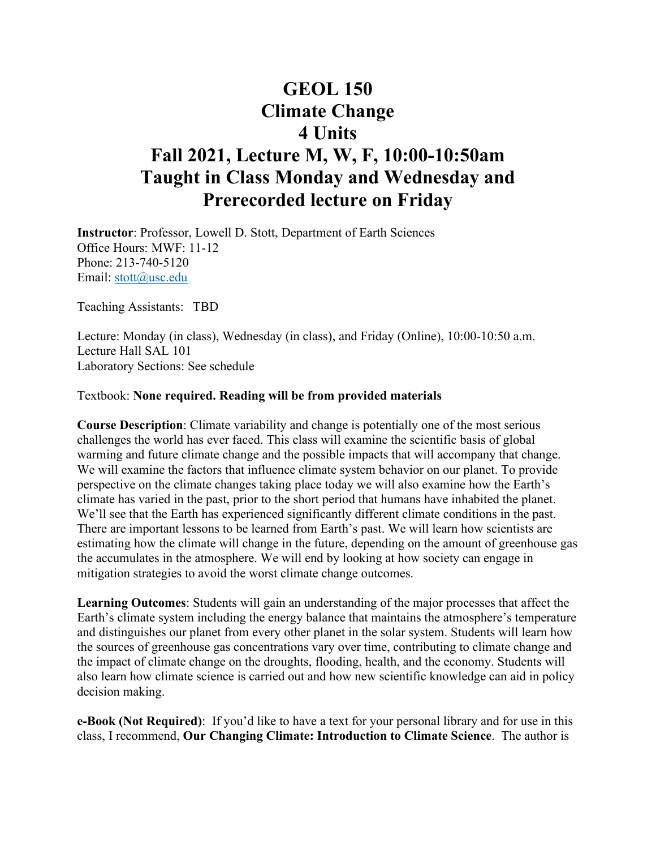# **GEOL 150 Climate Change 4 Units Fall 2021, Lecture M, W, F, 10:00-10:50am Taught in Class Monday and Wednesday and Prerecorded lecture on Friday**

**Instructor**: Professor, Lowell D. Stott, Department of Earth Sciences Office Hours: MWF: 11-12 Phone: 213-740-5120 Email: [stott@usc.edu](mailto:stott@usc.edu)

Teaching Assistants: TBD

Lecture: Monday (in class), Wednesday (in class), and Friday (Online), 10:00-10:50 a.m. Lecture Hall SAL 101 Laboratory Sections: See schedule

#### Textbook: **None required. Reading will be from provided materials**

**Course Description**: Climate variability and change is potentially one of the most serious challenges the world has ever faced. This class will examine the scientific basis of global warming and future climate change and the possible impacts that will accompany that change. We will examine the factors that influence climate system behavior on our planet. To provide perspective on the climate changes taking place today we will also examine how the Earth's climate has varied in the past, prior to the short period that humans have inhabited the planet. We'll see that the Earth has experienced significantly different climate conditions in the past. There are important lessons to be learned from Earth's past. We will learn how scientists are estimating how the climate will change in the future, depending on the amount of greenhouse gas the accumulates in the atmosphere. We will end by looking at how society can engage in mitigation strategies to avoid the worst climate change outcomes.

**Learning Outcomes**: Students will gain an understanding of the major processes that affect the Earth's climate system including the energy balance that maintains the atmosphere's temperature and distinguishes our planet from every other planet in the solar system. Students will learn how the sources of greenhouse gas concentrations vary over time, contributing to climate change and the impact of climate change on the droughts, flooding, health, and the economy. Students will also learn how climate science is carried out and how new scientific knowledge can aid in policy decision making.

**e-Book (Not Required)**: If you'd like to have a text for your personal library and for use in this class, I recommend, **Our Changing Climate: Introduction to Climate Science**. The author is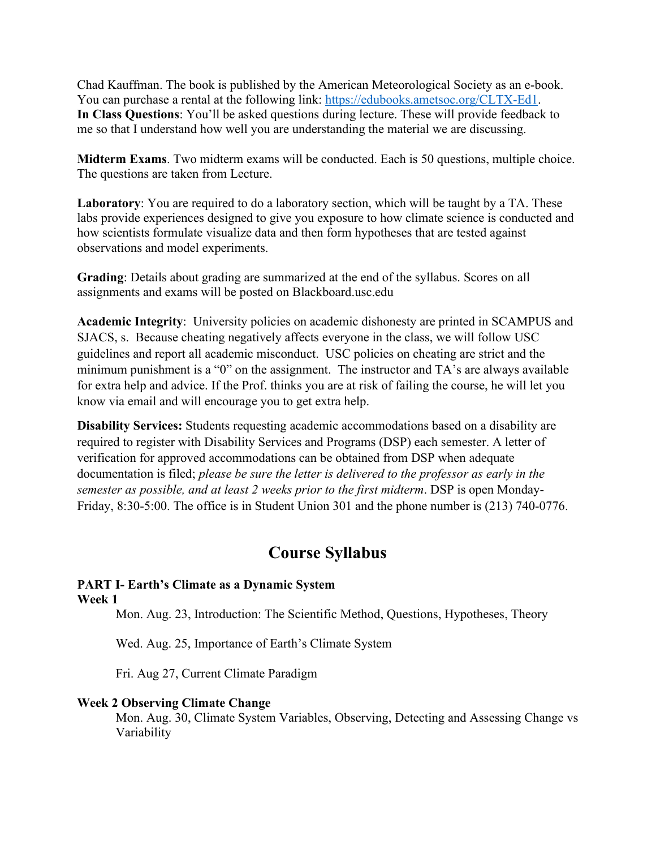Chad Kauffman. The book is published by the American Meteorological Society as an e-book. You can purchase a rental at the following link: [https://edubooks.ametsoc.org/CLTX-Ed1.](https://edubooks.ametsoc.org/CLTX-Ed1) **In Class Questions**: You'll be asked questions during lecture. These will provide feedback to me so that I understand how well you are understanding the material we are discussing.

**Midterm Exams**. Two midterm exams will be conducted. Each is 50 questions, multiple choice. The questions are taken from Lecture.

**Laboratory**: You are required to do a laboratory section, which will be taught by a TA. These labs provide experiences designed to give you exposure to how climate science is conducted and how scientists formulate visualize data and then form hypotheses that are tested against observations and model experiments.

**Grading**: Details about grading are summarized at the end of the syllabus. Scores on all assignments and exams will be posted on Blackboard.usc.edu

**Academic Integrity**: University policies on academic dishonesty are printed in SCAMPUS and SJACS, s. Because cheating negatively affects everyone in the class, we will follow USC guidelines and report all academic misconduct. USC policies on cheating are strict and the minimum punishment is a "0" on the assignment. The instructor and TA's are always available for extra help and advice. If the Prof. thinks you are at risk of failing the course, he will let you know via email and will encourage you to get extra help.

**Disability Services:** Students requesting academic accommodations based on a disability are required to register with Disability Services and Programs (DSP) each semester. A letter of verification for approved accommodations can be obtained from DSP when adequate documentation is filed; *please be sure the letter is delivered to the professor as early in the semester as possible, and at least 2 weeks prior to the first midterm*. DSP is open Monday-Friday, 8:30-5:00. The office is in Student Union 301 and the phone number is (213) 740-0776.

## **Course Syllabus**

#### **PART I- Earth's Climate as a Dynamic System Week 1**

Mon. Aug. 23, Introduction: The Scientific Method, Questions, Hypotheses, Theory

Wed. Aug. 25, Importance of Earth's Climate System

Fri. Aug 27, Current Climate Paradigm

### **Week 2 Observing Climate Change**

Mon. Aug. 30, Climate System Variables, Observing, Detecting and Assessing Change vs Variability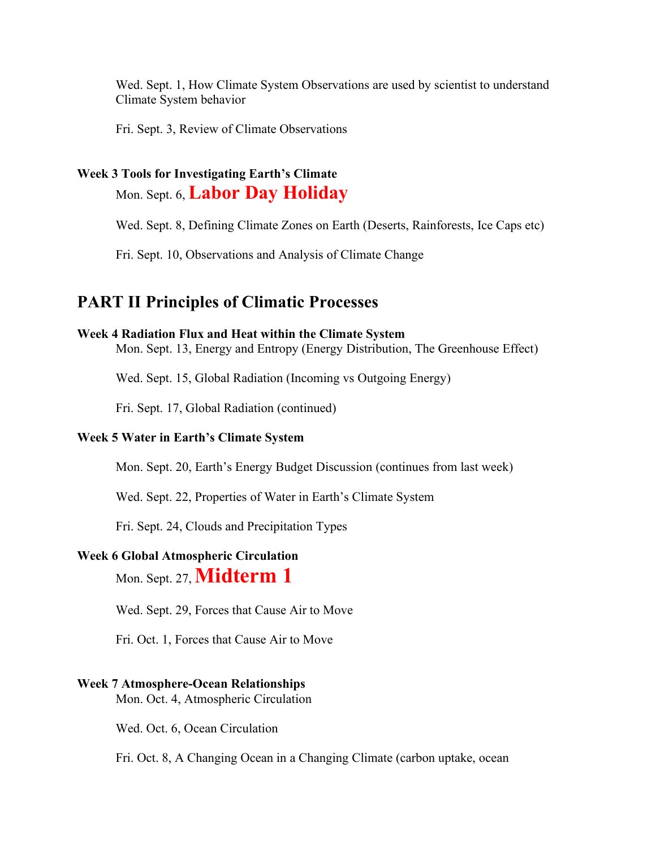Wed. Sept. 1, How Climate System Observations are used by scientist to understand Climate System behavior

Fri. Sept. 3, Review of Climate Observations

## **Week 3 Tools for Investigating Earth's Climate**

Mon. Sept. 6, **Labor Day Holiday**

Wed. Sept. 8, Defining Climate Zones on Earth (Deserts, Rainforests, Ice Caps etc)

Fri. Sept. 10, Observations and Analysis of Climate Change

## **PART II Principles of Climatic Processes**

#### **Week 4 Radiation Flux and Heat within the Climate System**

Mon. Sept. 13, Energy and Entropy (Energy Distribution, The Greenhouse Effect)

Wed. Sept. 15, Global Radiation (Incoming vs Outgoing Energy)

Fri. Sept. 17, Global Radiation (continued)

### **Week 5 Water in Earth's Climate System**

Mon. Sept. 20, Earth's Energy Budget Discussion (continues from last week)

Wed. Sept. 22, Properties of Water in Earth's Climate System

Fri. Sept. 24, Clouds and Precipitation Types

### **Week 6 Global Atmospheric Circulation**

Mon. Sept. 27, **Midterm 1**

Wed. Sept. 29, Forces that Cause Air to Move

Fri. Oct. 1, Forces that Cause Air to Move

#### **Week 7 Atmosphere-Ocean Relationships**

Mon. Oct. 4, Atmospheric Circulation

Wed. Oct. 6, Ocean Circulation

Fri. Oct. 8, A Changing Ocean in a Changing Climate (carbon uptake, ocean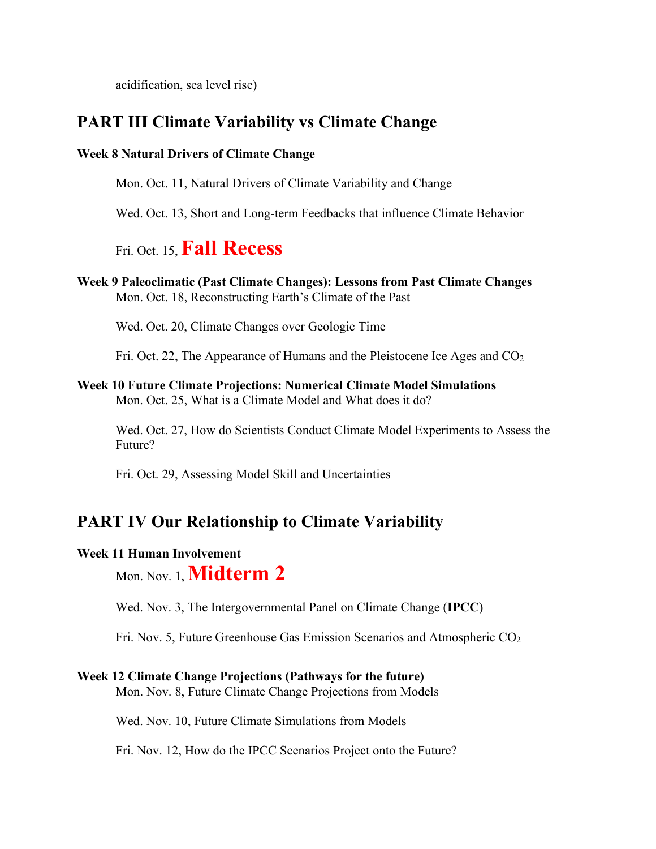acidification, sea level rise)

## **PART III Climate Variability vs Climate Change**

## **Week 8 Natural Drivers of Climate Change**

Mon. Oct. 11, Natural Drivers of Climate Variability and Change

Wed. Oct. 13, Short and Long-term Feedbacks that influence Climate Behavior

# Fri. Oct. 15, **Fall Recess**

**Week 9 Paleoclimatic (Past Climate Changes): Lessons from Past Climate Changes** Mon. Oct. 18, Reconstructing Earth's Climate of the Past

Wed. Oct. 20, Climate Changes over Geologic Time

Fri. Oct. 22, The Appearance of Humans and the Pleistocene Ice Ages and  $CO<sub>2</sub>$ 

**Week 10 Future Climate Projections: Numerical Climate Model Simulations** Mon. Oct. 25, What is a Climate Model and What does it do?

Wed. Oct. 27, How do Scientists Conduct Climate Model Experiments to Assess the Future?

Fri. Oct. 29, Assessing Model Skill and Uncertainties

## **PART IV Our Relationship to Climate Variability**

### **Week 11 Human Involvement**

Mon. Nov. 1, **Midterm 2**

Wed. Nov. 3, The Intergovernmental Panel on Climate Change (**IPCC**)

Fri. Nov. 5, Future Greenhouse Gas Emission Scenarios and Atmospheric  $CO<sub>2</sub>$ 

### **Week 12 Climate Change Projections (Pathways for the future)**

Mon. Nov. 8, Future Climate Change Projections from Models

Wed. Nov. 10, Future Climate Simulations from Models

Fri. Nov. 12, How do the IPCC Scenarios Project onto the Future?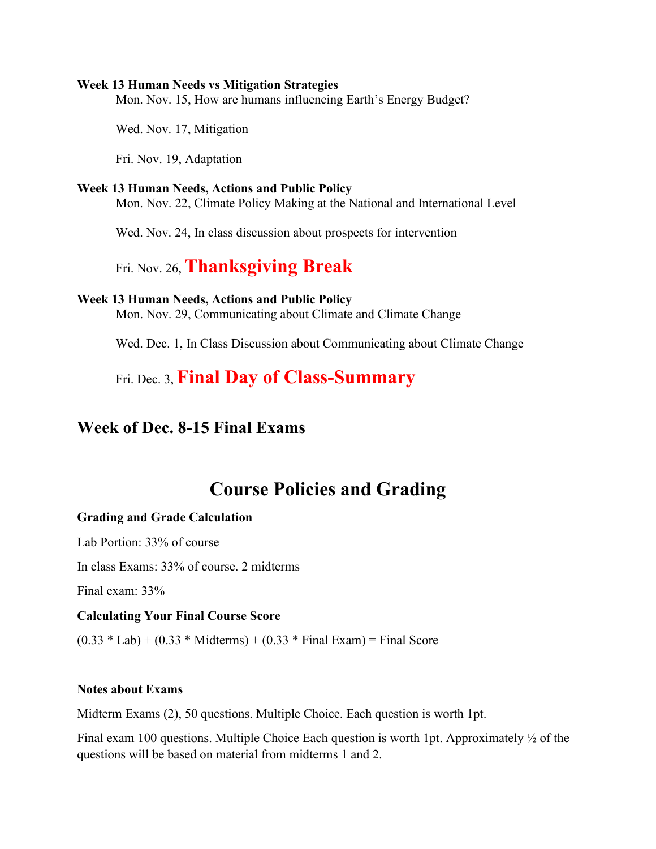#### **Week 13 Human Needs vs Mitigation Strategies**

Mon. Nov. 15, How are humans influencing Earth's Energy Budget?

Wed. Nov. 17, Mitigation

Fri. Nov. 19, Adaptation

### **Week 13 Human Needs, Actions and Public Policy**

Mon. Nov. 22, Climate Policy Making at the National and International Level

Wed. Nov. 24, In class discussion about prospects for intervention

## Fri. Nov. 26, **Thanksgiving Break**

#### **Week 13 Human Needs, Actions and Public Policy**

Mon. Nov. 29, Communicating about Climate and Climate Change

Wed. Dec. 1, In Class Discussion about Communicating about Climate Change

Fri. Dec. 3, **Final Day of Class-Summary**

## **Week of Dec. 8-15 Final Exams**

## **Course Policies and Grading**

#### **Grading and Grade Calculation**

Lab Portion: 33% of course

In class Exams: 33% of course. 2 midterms

Final exam: 33%

#### **Calculating Your Final Course Score**

 $(0.33 * Lab) + (0.33 * Midterms) + (0.33 * Final Exam) = Final Score$ 

#### **Notes about Exams**

Midterm Exams (2), 50 questions. Multiple Choice. Each question is worth 1pt.

Final exam 100 questions. Multiple Choice Each question is worth 1pt. Approximately ½ of the questions will be based on material from midterms 1 and 2.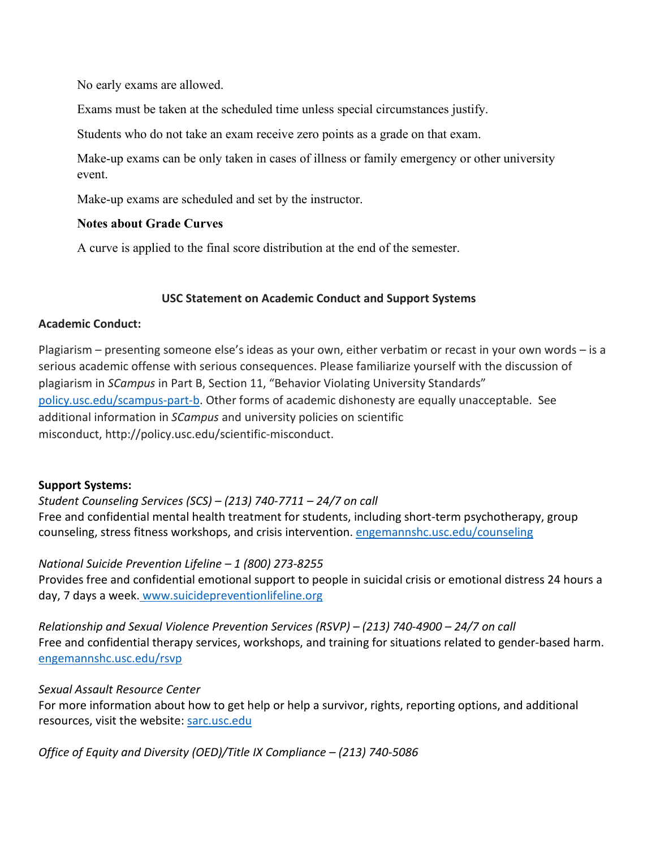No early exams are allowed.

Exams must be taken at the scheduled time unless special circumstances justify.

Students who do not take an exam receive zero points as a grade on that exam.

Make-up exams can be only taken in cases of illness or family emergency or other university event.

Make-up exams are scheduled and set by the instructor.

## **Notes about Grade Curves**

A curve is applied to the final score distribution at the end of the semester.

## **USC Statement on Academic Conduct and Support Systems**

## **Academic Conduct:**

Plagiarism – presenting someone else's ideas as your own, either verbatim or recast in your own words – is a serious academic offense with serious consequences. Please familiarize yourself with the discussion of plagiarism in *SCampus* in Part B, Section 11, "Behavior Violating University Standards" [policy.usc.edu/scampus-part-b.](https://policy.usc.edu/scampus-part-b/) Other forms of academic dishonesty are equally unacceptable. See additional information in *SCampus* and university policies on scientific misconduct, http://policy.usc.edu/scientific-misconduct.

## **Support Systems:**

## *Student Counseling Services (SCS) – (213) 740-7711 – 24/7 on call*

Free and confidential mental health treatment for students, including short-term psychotherapy, group counseling, stress fitness workshops, and crisis intervention. [engemannshc.usc.edu/counseling](https://engemannshc.usc.edu/counseling)

## *National Suicide Prevention Lifeline – 1 (800) 273-8255*

Provides free and confidential emotional support to people in suicidal crisis or emotional distress 24 hours a day, 7 days a week. [www.suicidepreventionlifeline.org](http://www.suicidepreventionlifeline.org/)

*Relationship and Sexual Violence Prevention Services (RSVP) – (213) 740-4900 – 24/7 on call* Free and confidential therapy services, workshops, and training for situations related to gender-based harm. [engemannshc.usc.edu/rsvp](https://engemannshc.usc.edu/rsvp/)

## *Sexual Assault Resource Center*

For more information about how to get help or help a survivor, rights, reporting options, and additional resources, visit the website[: sarc.usc.edu](http://sarc.usc.edu/)

*Office of Equity and Diversity (OED)/Title IX Compliance – (213) 740-5086*